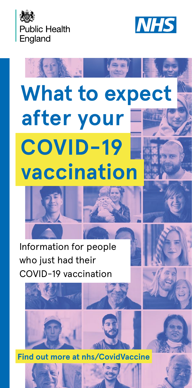



# **What to expect after your vaccination COVID-19**





 **Find out more at [nhs/CovidVaccine](https://www.nhs.uk/conditions/coronavirus-covid-19/coronavirus-vaccination/)**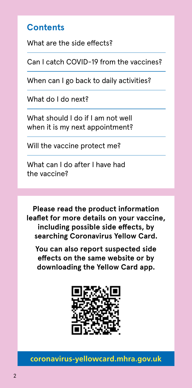## **Contents**

What are the side effects?

Can I catch COVID-19 from the vaccines?

When can I go back to daily activities?

What do I do next?

What should I do if I am not well when it is my next appointment?

Will the vaccine protect me?

What can I do after I have had the vaccine?

**Please read the product information leaflet for more details on your vaccine, including possible side effects, by searching Coronavirus Yellow Card.**

**You can also report suspected side effects on the same website or by downloading the Yellow Card app.**



**[coronavirus-yellowcard.mhra.gov.uk](https://coronavirus-yellowcard.mhra.gov.uk/)**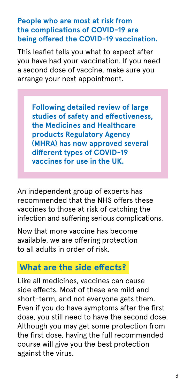**People who are most at risk from the complications of COVID-19 are being offered the COVID-19 vaccination.** 

This leaflet tells you what to expect after you have had your vaccination. If you need a second dose of vaccine, make sure you arrange your next appointment.

**Following detailed review of large studies of safety and effectiveness, the Medicines and Healthcare products Regulatory Agency (MHRA) has now approved several different types of COVID-19 vaccines for use in the UK.** 

An independent group of experts has recommended that the NHS offers these vaccines to those at risk of catching the infection and suffering serious complications.

Now that more vaccine has become available, we are offering protection to all adults in order of risk.

## **What are the side effects?**

Like all medicines, vaccines can cause side effects. Most of these are mild and short-term, and not everyone gets them. Even if you do have symptoms after the first dose, you still need to have the second dose. Although you may get some protection from the first dose, having the full recommended course will give you the best protection against the virus.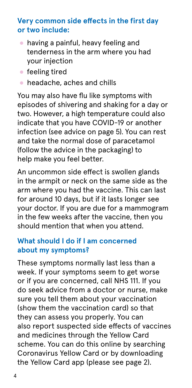#### **Very common side effects in the first day or two include:**

- having a painful, heavy feeling and tenderness in the arm where you had your injection
- feeling tired
- $\bullet$  headache, aches and chills

You may also have flu like symptoms with episodes of shivering and shaking for a day or two. However, a high temperature could also indicate that you have COVID-19 or another infection (see advice on page 5). You can rest and take the normal dose of paracetamol (follow the advice in the packaging) to help make you feel better.

An uncommon side effect is swollen glands in the armpit or neck on the same side as the arm where you had the vaccine. This can last for around 10 days, but if it lasts longer see your doctor. If you are due for a mammogram in the few weeks after the vaccine, then you should mention that when you attend.

#### **What should I do if I am concerned about my symptoms?**

These symptoms normally last less than a week. If your symptoms seem to get worse or if you are concerned, call NHS 111. If you do seek advice from a doctor or nurse, make sure you tell them about your vaccination (show them the vaccination card) so that they can assess you properly. You can also report suspected side effects of vaccines and medicines through the Yellow Card scheme. You can do this online by searching Coronavirus Yellow Card or by downloading the Yellow Card app (please see page 2).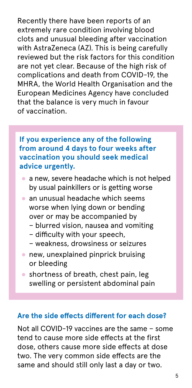Recently there have been reports of an extremely rare condition involving blood clots and unusual bleeding after vaccination with AstraZeneca (AZ). This is being carefully reviewed but the risk factors for this condition are not yet clear. Because of the high risk of complications and death from COVID-19, the MHRA, the World Health Organisation and the European Medicines Agency have concluded that the balance is very much in favour of vaccination.

#### **If you experience any of the following from around 4 days to four weeks after vaccination you should seek medical advice urgently.**

- a new, severe headache which is not helped by usual painkillers or is getting worse
- an unusual headache which seems worse when lying down or bending over or may be accompanied by
	- blurred vision, nausea and vomiting
	- difficulty with your speech,
	- weakness, drowsiness or seizures
- new, unexplained pinprick bruising or bleeding
- shortness of breath, chest pain, leg swelling or persistent abdominal pain

#### **Are the side effects different for each dose?**

Not all COVID-19 vaccines are the same – some tend to cause more side effects at the first dose, others cause more side effects at dose two. The very common side effects are the same and should still only last a day or two.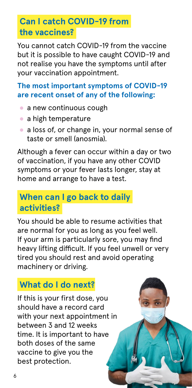# **Can I catch COVID-19 from the vaccines?**

You cannot catch COVID-19 from the vaccine but it is possible to have caught COVID-19 and not realise you have the symptoms until after your vaccination appointment.

### **The most important symptoms of COVID-19 are recent onset of any of the following:**

- $\bullet$  a new continuous cough
- a high temperature
- a loss of, or change in, your normal sense of taste or smell (anosmia).

Although a fever can occur within a day or two of vaccination, if you have any other COVID symptoms or your fever lasts longer, stay at home and arrange to have a test.

## **When can I go back to daily activities?**

You should be able to resume activities that are normal for you as long as you feel well. If your arm is particularly sore, you may find heavy lifting difficult. If you feel unwell or very tired you should rest and avoid operating machinery or driving.

# **What do I do next?**

If this is your first dose, you should have a record card with your next appointment in between 3 and 12 weeks time. It is important to have both doses of the same vaccine to give you the best protection.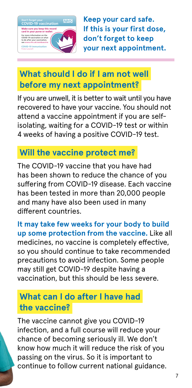

**Keep your card safe. If this is your first dose, don't forget to keep your next appointment.**

## **What should I do if I am not well before my next appointment?**

If you are unwell, it is better to wait until you have recovered to have your vaccine. You should not attend a vaccine appointment if you are selfisolating, waiting for a COVID-19 test or within 4 weeks of having a positive COVID-19 test.

# **Will the vaccine protect me?**

The COVID-19 vaccine that you have had has been shown to reduce the chance of you suffering from COVID-19 disease. Each vaccine has been tested in more than 20,000 people and many have also been used in many different countries.

**It may take few weeks for your body to build up some protection from the vaccine.** Like all medicines, no vaccine is completely effective, so you should continue to take recommended precautions to avoid infection. Some people may still get COVID-19 despite having a vaccination, but this should be less severe.

## **What can I do after I have had the vaccine?**

The vaccine cannot give you COVID-19 infection, and a full course will reduce your chance of becoming seriously ill. We don't know how much it will reduce the risk of you passing on the virus. So it is important to continue to follow current national guidance.